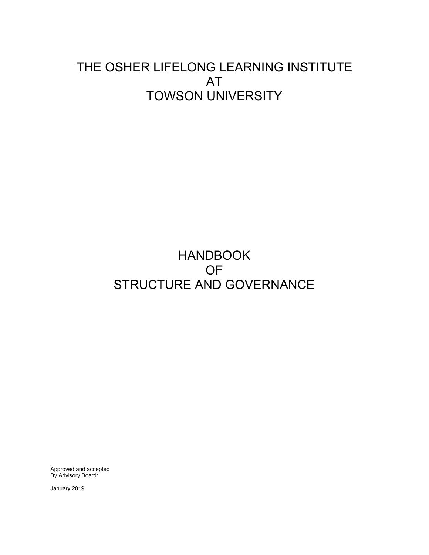# THE OSHER LIFELONG LEARNING INSTITUTE AT TOWSON UNIVERSITY

# HANDBOOK OF STRUCTURE AND GOVERNANCE

Approved and accepted By Advisory Board:

January 2019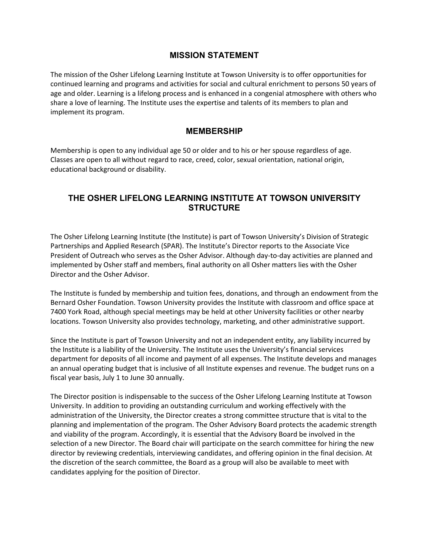## **MISSION STATEMENT**

The mission of the Osher Lifelong Learning Institute at Towson University is to offer opportunities for continued learning and programs and activities for social and cultural enrichment to persons 50 years of age and older. Learning is a lifelong process and is enhanced in a congenial atmosphere with others who share a love of learning. The Institute uses the expertise and talents of its members to plan and implement its program.

### **MEMBERSHIP**

Membership is open to any individual age 50 or older and to his or her spouse regardless of age. Classes are open to all without regard to race, creed, color, sexual orientation, national origin, educational background or disability.

# **THE OSHER LIFELONG LEARNING INSTITUTE AT TOWSON UNIVERSITY STRUCTURE**

The Osher Lifelong Learning Institute (the Institute) is part of Towson University's Division of Strategic Partnerships and Applied Research (SPAR). The Institute's Director reports to the Associate Vice President of Outreach who serves as the Osher Advisor. Although day-to-day activities are planned and implemented by Osher staff and members, final authority on all Osher matters lies with the Osher Director and the Osher Advisor.

The Institute is funded by membership and tuition fees, donations, and through an endowment from the Bernard Osher Foundation. Towson University provides the Institute with classroom and office space at 7400 York Road, although special meetings may be held at other University facilities or other nearby locations. Towson University also provides technology, marketing, and other administrative support.

Since the Institute is part of Towson University and not an independent entity, any liability incurred by the Institute is a liability of the University. The Institute uses the University's financial services department for deposits of all income and payment of all expenses. The Institute develops and manages an annual operating budget that is inclusive of all Institute expenses and revenue. The budget runs on a fiscal year basis, July 1 to June 30 annually.

The Director position is indispensable to the success of the Osher Lifelong Learning Institute at Towson University. In addition to providing an outstanding curriculum and working effectively with the administration of the University, the Director creates a strong committee structure that is vital to the planning and implementation of the program. The Osher Advisory Board protects the academic strength and viability of the program. Accordingly, it is essential that the Advisory Board be involved in the selection of a new Director. The Board chair will participate on the search committee for hiring the new director by reviewing credentials, interviewing candidates, and offering opinion in the final decision. At the discretion of the search committee, the Board as a group will also be available to meet with candidates applying for the position of Director.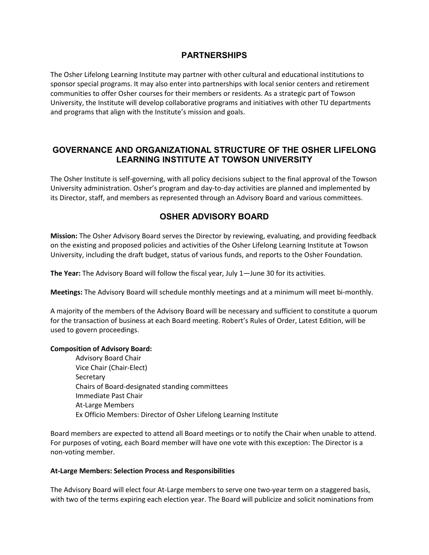## **PARTNERSHIPS**

The Osher Lifelong Learning Institute may partner with other cultural and educational institutions to sponsor special programs. It may also enter into partnerships with local senior centers and retirement communities to offer Osher courses for their members or residents. As a strategic part of Towson University, the Institute will develop collaborative programs and initiatives with other TU departments and programs that align with the Institute's mission and goals.

## **GOVERNANCE AND ORGANIZATIONAL STRUCTURE OF THE OSHER LIFELONG LEARNING INSTITUTE AT TOWSON UNIVERSITY**

The Osher Institute is self-governing, with all policy decisions subject to the final approval of the Towson University administration. Osher's program and day-to-day activities are planned and implemented by its Director, staff, and members as represented through an Advisory Board and various committees.

# **OSHER ADVISORY BOARD**

**Mission:** The Osher Advisory Board serves the Director by reviewing, evaluating, and providing feedback on the existing and proposed policies and activities of the Osher Lifelong Learning Institute at Towson University, including the draft budget, status of various funds, and reports to the Osher Foundation.

**The Year:** The Advisory Board will follow the fiscal year, July 1—June 30 for its activities.

**Meetings:** The Advisory Board will schedule monthly meetings and at a minimum will meet bi-monthly.

A majority of the members of the Advisory Board will be necessary and sufficient to constitute a quorum for the transaction of business at each Board meeting. Robert's Rules of Order, Latest Edition, will be used to govern proceedings.

#### **Composition of Advisory Board:**

Advisory Board Chair Vice Chair (Chair-Elect) Secretary Chairs of Board-designated standing committees Immediate Past Chair At-Large Members Ex Officio Members: Director of Osher Lifelong Learning Institute

Board members are expected to attend all Board meetings or to notify the Chair when unable to attend. For purposes of voting, each Board member will have one vote with this exception: The Director is a non-voting member.

#### **At-Large Members: Selection Process and Responsibilities**

The Advisory Board will elect four At-Large members to serve one two-year term on a staggered basis, with two of the terms expiring each election year. The Board will publicize and solicit nominations from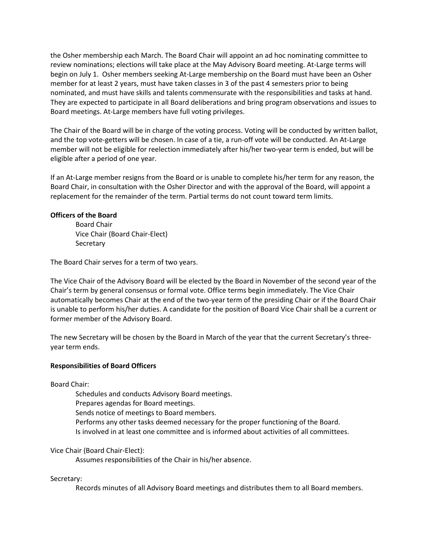the Osher membership each March. The Board Chair will appoint an ad hoc nominating committee to review nominations; elections will take place at the May Advisory Board meeting. At-Large terms will begin on July 1. Osher members seeking At-Large membership on the Board must have been an Osher member for at least 2 years, must have taken classes in 3 of the past 4 semesters prior to being nominated, and must have skills and talents commensurate with the responsibilities and tasks at hand. They are expected to participate in all Board deliberations and bring program observations and issues to Board meetings. At-Large members have full voting privileges.

The Chair of the Board will be in charge of the voting process. Voting will be conducted by written ballot, and the top vote-getters will be chosen. In case of a tie, a run-off vote will be conducted. An At-Large member will not be eligible for reelection immediately after his/her two-year term is ended, but will be eligible after a period of one year.

If an At-Large member resigns from the Board or is unable to complete his/her term for any reason, the Board Chair, in consultation with the Osher Director and with the approval of the Board, will appoint a replacement for the remainder of the term. Partial terms do not count toward term limits.

#### **Officers of the Board**

Board Chair Vice Chair (Board Chair-Elect) Secretary

The Board Chair serves for a term of two years.

The Vice Chair of the Advisory Board will be elected by the Board in November of the second year of the Chair's term by general consensus or formal vote. Office terms begin immediately. The Vice Chair automatically becomes Chair at the end of the two-year term of the presiding Chair or if the Board Chair is unable to perform his/her duties. A candidate for the position of Board Vice Chair shall be a current or former member of the Advisory Board.

The new Secretary will be chosen by the Board in March of the year that the current Secretary's threeyear term ends.

#### **Responsibilities of Board Officers**

Board Chair:

Schedules and conducts Advisory Board meetings. Prepares agendas for Board meetings. Sends notice of meetings to Board members. Performs any other tasks deemed necessary for the proper functioning of the Board. Is involved in at least one committee and is informed about activities of all committees.

#### Vice Chair (Board Chair-Elect):

Assumes responsibilities of the Chair in his/her absence.

Secretary:

Records minutes of all Advisory Board meetings and distributes them to all Board members.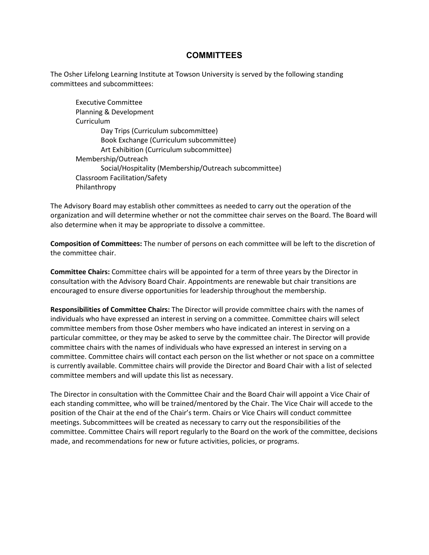### **COMMITTEES**

The Osher Lifelong Learning Institute at Towson University is served by the following standing committees and subcommittees:

Executive Committee Planning & Development Curriculum Day Trips (Curriculum subcommittee) Book Exchange (Curriculum subcommittee) Art Exhibition (Curriculum subcommittee) Membership/Outreach Social/Hospitality (Membership/Outreach subcommittee) Classroom Facilitation/Safety Philanthropy

The Advisory Board may establish other committees as needed to carry out the operation of the organization and will determine whether or not the committee chair serves on the Board. The Board will also determine when it may be appropriate to dissolve a committee.

**Composition of Committees:** The number of persons on each committee will be left to the discretion of the committee chair.

**Committee Chairs:** Committee chairs will be appointed for a term of three years by the Director in consultation with the Advisory Board Chair. Appointments are renewable but chair transitions are encouraged to ensure diverse opportunities for leadership throughout the membership.

**Responsibilities of Committee Chairs:** The Director will provide committee chairs with the names of individuals who have expressed an interest in serving on a committee. Committee chairs will select committee members from those Osher members who have indicated an interest in serving on a particular committee, or they may be asked to serve by the committee chair. The Director will provide committee chairs with the names of individuals who have expressed an interest in serving on a committee. Committee chairs will contact each person on the list whether or not space on a committee is currently available. Committee chairs will provide the Director and Board Chair with a list of selected committee members and will update this list as necessary.

The Director in consultation with the Committee Chair and the Board Chair will appoint a Vice Chair of each standing committee, who will be trained/mentored by the Chair. The Vice Chair will accede to the position of the Chair at the end of the Chair's term. Chairs or Vice Chairs will conduct committee meetings. Subcommittees will be created as necessary to carry out the responsibilities of the committee. Committee Chairs will report regularly to the Board on the work of the committee, decisions made, and recommendations for new or future activities, policies, or programs.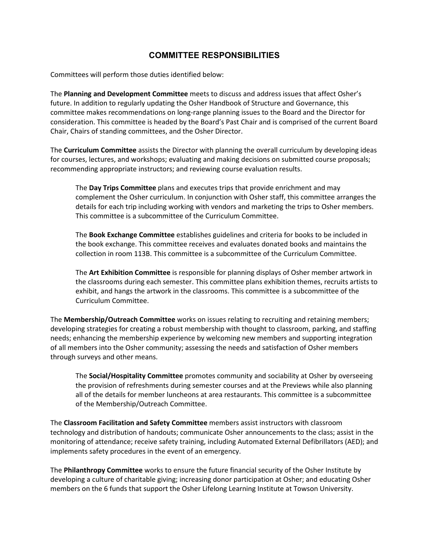## **COMMITTEE RESPONSIBILITIES**

Committees will perform those duties identified below:

The **Planning and Development Committee** meets to discuss and address issues that affect Osher's future. In addition to regularly updating the Osher Handbook of Structure and Governance, this committee makes recommendations on long-range planning issues to the Board and the Director for consideration. This committee is headed by the Board's Past Chair and is comprised of the current Board Chair, Chairs of standing committees, and the Osher Director.

The **Curriculum Committee** assists the Director with planning the overall curriculum by developing ideas for courses, lectures, and workshops; evaluating and making decisions on submitted course proposals; recommending appropriate instructors; and reviewing course evaluation results.

The **Day Trips Committee** plans and executes trips that provide enrichment and may complement the Osher curriculum. In conjunction with Osher staff, this committee arranges the details for each trip including working with vendors and marketing the trips to Osher members. This committee is a subcommittee of the Curriculum Committee.

The **Book Exchange Committee** establishes guidelines and criteria for books to be included in the book exchange. This committee receives and evaluates donated books and maintains the collection in room 113B. This committee is a subcommittee of the Curriculum Committee.

The **Art Exhibition Committee** is responsible for planning displays of Osher member artwork in the classrooms during each semester. This committee plans exhibition themes, recruits artists to exhibit, and hangs the artwork in the classrooms. This committee is a subcommittee of the Curriculum Committee.

The **Membership/Outreach Committee** works on issues relating to recruiting and retaining members; developing strategies for creating a robust membership with thought to classroom, parking, and staffing needs; enhancing the membership experience by welcoming new members and supporting integration of all members into the Osher community; assessing the needs and satisfaction of Osher members through surveys and other means.

The **Social/Hospitality Committee** promotes community and sociability at Osher by overseeing the provision of refreshments during semester courses and at the Previews while also planning all of the details for member luncheons at area restaurants. This committee is a subcommittee of the Membership/Outreach Committee.

The **Classroom Facilitation and Safety Committee** members assist instructors with classroom technology and distribution of handouts; communicate Osher announcements to the class; assist in the monitoring of attendance; receive safety training, including Automated External Defibrillators (AED); and implements safety procedures in the event of an emergency.

The **Philanthropy Committee** works to ensure the future financial security of the Osher Institute by developing a culture of charitable giving; increasing donor participation at Osher; and educating Osher members on the 6 funds that support the Osher Lifelong Learning Institute at Towson University.